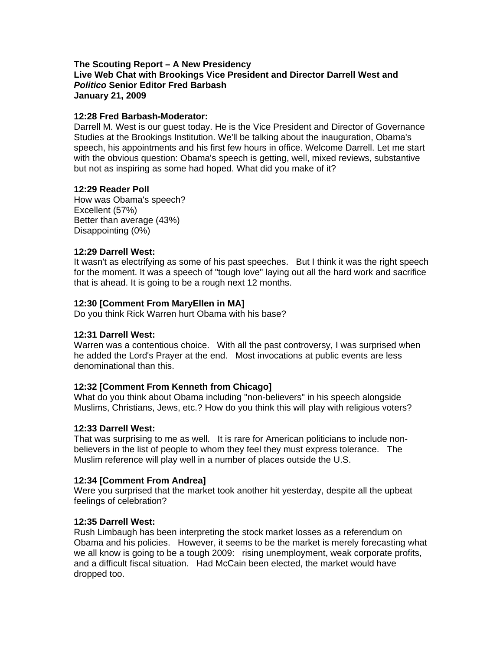#### **The Scouting Report – A New Presidency Live Web Chat with Brookings Vice President and Director Darrell West and**  *Politico* **Senior Editor Fred Barbash January 21, 2009**

#### **12:28 Fred Barbash-Moderator:**

Darrell M. West is our guest today. He is the Vice President and Director of Governance Studies at the Brookings Institution. We'll be talking about the inauguration, Obama's speech, his appointments and his first few hours in office. Welcome Darrell. Let me start with the obvious question: Obama's speech is getting, well, mixed reviews, substantive but not as inspiring as some had hoped. What did you make of it?

### **12:29 Reader Poll**

How was Obama's speech? Excellent (57%) Better than average (43%) Disappointing (0%)

### **12:29 Darrell West:**

It wasn't as electrifying as some of his past speeches. But I think it was the right speech for the moment. It was a speech of "tough love" laying out all the hard work and sacrifice that is ahead. It is going to be a rough next 12 months.

### **12:30 [Comment From MaryEllen in MA]**

Do you think Rick Warren hurt Obama with his base?

## **12:31 Darrell West:**

Warren was a contentious choice. With all the past controversy, I was surprised when he added the Lord's Prayer at the end. Most invocations at public events are less denominational than this.

## **12:32 [Comment From Kenneth from Chicago]**

What do you think about Obama including "non-believers" in his speech alongside Muslims, Christians, Jews, etc.? How do you think this will play with religious voters?

#### **12:33 Darrell West:**

That was surprising to me as well. It is rare for American politicians to include nonbelievers in the list of people to whom they feel they must express tolerance. The Muslim reference will play well in a number of places outside the U.S.

## **12:34 [Comment From Andrea]**

Were you surprised that the market took another hit yesterday, despite all the upbeat feelings of celebration?

#### **12:35 Darrell West:**

Rush Limbaugh has been interpreting the stock market losses as a referendum on Obama and his policies. However, it seems to be the market is merely forecasting what we all know is going to be a tough 2009: rising unemployment, weak corporate profits, and a difficult fiscal situation. Had McCain been elected, the market would have dropped too.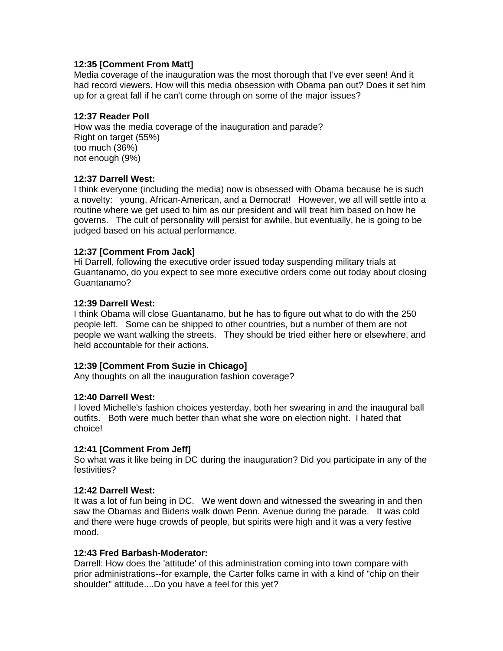## **12:35 [Comment From Matt]**

Media coverage of the inauguration was the most thorough that I've ever seen! And it had record viewers. How will this media obsession with Obama pan out? Does it set him up for a great fall if he can't come through on some of the major issues?

#### **12:37 Reader Poll**

How was the media coverage of the inauguration and parade? Right on target (55%) too much (36%) not enough (9%)

### **12:37 Darrell West:**

I think everyone (including the media) now is obsessed with Obama because he is such a novelty: young, African-American, and a Democrat! However, we all will settle into a routine where we get used to him as our president and will treat him based on how he governs. The cult of personality will persist for awhile, but eventually, he is going to be judged based on his actual performance.

### **12:37 [Comment From Jack]**

Hi Darrell, following the executive order issued today suspending military trials at Guantanamo, do you expect to see more executive orders come out today about closing Guantanamo?

#### **12:39 Darrell West:**

I think Obama will close Guantanamo, but he has to figure out what to do with the 250 people left. Some can be shipped to other countries, but a number of them are not people we want walking the streets. They should be tried either here or elsewhere, and held accountable for their actions.

#### **12:39 [Comment From Suzie in Chicago]**

Any thoughts on all the inauguration fashion coverage?

#### **12:40 Darrell West:**

I loved Michelle's fashion choices yesterday, both her swearing in and the inaugural ball outfits. Both were much better than what she wore on election night. I hated that choice!

## **12:41 [Comment From Jeff]**

So what was it like being in DC during the inauguration? Did you participate in any of the festivities?

#### **12:42 Darrell West:**

It was a lot of fun being in DC. We went down and witnessed the swearing in and then saw the Obamas and Bidens walk down Penn. Avenue during the parade. It was cold and there were huge crowds of people, but spirits were high and it was a very festive mood.

#### **12:43 Fred Barbash-Moderator:**

Darrell: How does the 'attitude' of this administration coming into town compare with prior administrations--for example, the Carter folks came in with a kind of "chip on their shoulder" attitude....Do you have a feel for this yet?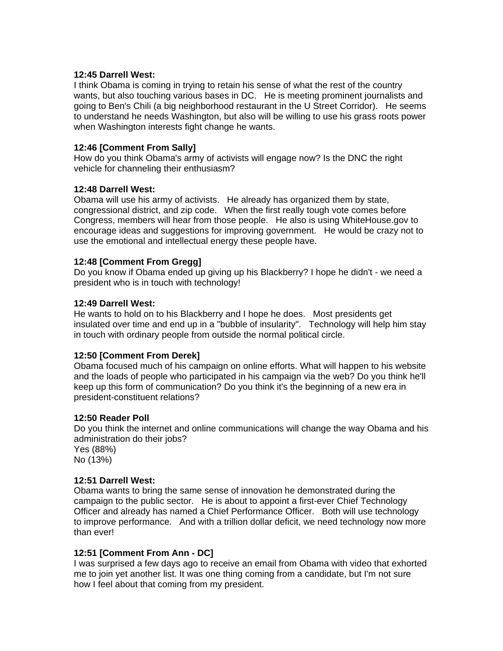#### **12:45 Darrell West:**

I think Obama is coming in trying to retain his sense of what the rest of the country wants, but also touching various bases in DC. He is meeting prominent journalists and going to Ben's Chili (a big neighborhood restaurant in the U Street Corridor). He seems to understand he needs Washington, but also will be willing to use his grass roots power when Washington interests fight change he wants.

## **12:46 [Comment From Sally]**

How do you think Obama's army of activists will engage now? Is the DNC the right vehicle for channeling their enthusiasm?

### **12:48 Darrell West:**

Obama will use his army of activists. He already has organized them by state, congressional district, and zip code. When the first really tough vote comes before Congress, members will hear from those people. He also is using WhiteHouse.gov to encourage ideas and suggestions for improving government. He would be crazy not to use the emotional and intellectual energy these people have.

### **12:48 [Comment From Gregg]**

Do you know if Obama ended up giving up his Blackberry? I hope he didn't - we need a president who is in touch with technology!

### **12:49 Darrell West:**

He wants to hold on to his Blackberry and I hope he does. Most presidents get insulated over time and end up in a "bubble of insularity". Technology will help him stay in touch with ordinary people from outside the normal political circle.

## **12:50 [Comment From Derek]**

Obama focused much of his campaign on online efforts. What will happen to his website and the loads of people who participated in his campaign via the web? Do you think he'll keep up this form of communication? Do you think it's the beginning of a new era in president-constituent relations?

#### **12:50 Reader Poll**

Do you think the internet and online communications will change the way Obama and his administration do their jobs?

Yes (88%) No (13%)

## **12:51 Darrell West:**

Obama wants to bring the same sense of innovation he demonstrated during the campaign to the public sector. He is about to appoint a first-ever Chief Technology Officer and already has named a Chief Performance Officer. Both will use technology to improve performance. And with a trillion dollar deficit, we need technology now more than ever!

## **12:51 [Comment From Ann - DC]**

I was surprised a few days ago to receive an email from Obama with video that exhorted me to join yet another list. It was one thing coming from a candidate, but I'm not sure how I feel about that coming from my president.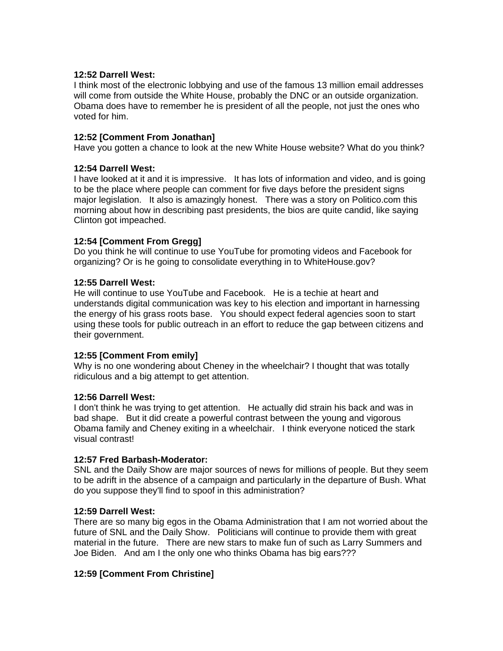### **12:52 Darrell West:**

I think most of the electronic lobbying and use of the famous 13 million email addresses will come from outside the White House, probably the DNC or an outside organization. Obama does have to remember he is president of all the people, not just the ones who voted for him.

## **12:52 [Comment From Jonathan]**

Have you gotten a chance to look at the new White House website? What do you think?

### **12:54 Darrell West:**

I have looked at it and it is impressive. It has lots of information and video, and is going to be the place where people can comment for five days before the president signs major legislation. It also is amazingly honest. There was a story on Politico.com this morning about how in describing past presidents, the bios are quite candid, like saying Clinton got impeached.

## **12:54 [Comment From Gregg]**

Do you think he will continue to use YouTube for promoting videos and Facebook for organizing? Or is he going to consolidate everything in to WhiteHouse.gov?

### **12:55 Darrell West:**

He will continue to use YouTube and Facebook. He is a techie at heart and understands digital communication was key to his election and important in harnessing the energy of his grass roots base. You should expect federal agencies soon to start using these tools for public outreach in an effort to reduce the gap between citizens and their government.

#### **12:55 [Comment From emily]**

Why is no one wondering about Cheney in the wheelchair? I thought that was totally ridiculous and a big attempt to get attention.

#### **12:56 Darrell West:**

I don't think he was trying to get attention. He actually did strain his back and was in bad shape. But it did create a powerful contrast between the young and vigorous Obama family and Cheney exiting in a wheelchair. I think everyone noticed the stark visual contrast!

## **12:57 Fred Barbash-Moderator:**

SNL and the Daily Show are major sources of news for millions of people. But they seem to be adrift in the absence of a campaign and particularly in the departure of Bush. What do you suppose they'll find to spoof in this administration?

#### **12:59 Darrell West:**

There are so many big egos in the Obama Administration that I am not worried about the future of SNL and the Daily Show. Politicians will continue to provide them with great material in the future. There are new stars to make fun of such as Larry Summers and Joe Biden. And am I the only one who thinks Obama has big ears???

## **12:59 [Comment From Christine]**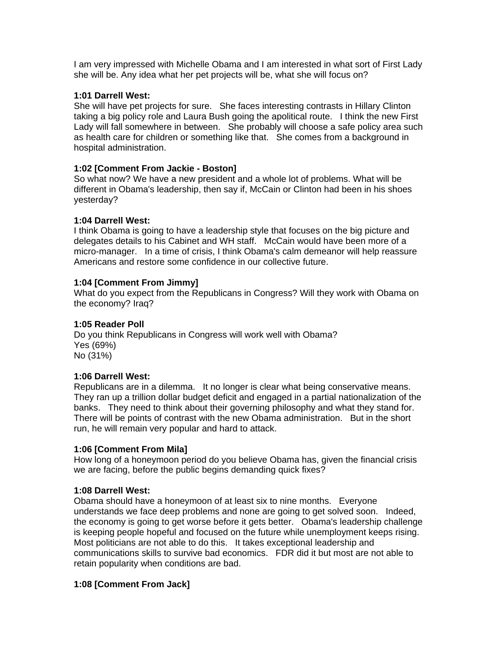I am very impressed with Michelle Obama and I am interested in what sort of First Lady she will be. Any idea what her pet projects will be, what she will focus on?

## **1:01 Darrell West:**

She will have pet projects for sure. She faces interesting contrasts in Hillary Clinton taking a big policy role and Laura Bush going the apolitical route. I think the new First Lady will fall somewhere in between. She probably will choose a safe policy area such as health care for children or something like that. She comes from a background in hospital administration.

### **1:02 [Comment From Jackie - Boston]**

So what now? We have a new president and a whole lot of problems. What will be different in Obama's leadership, then say if, McCain or Clinton had been in his shoes yesterday?

### **1:04 Darrell West:**

I think Obama is going to have a leadership style that focuses on the big picture and delegates details to his Cabinet and WH staff. McCain would have been more of a micro-manager. In a time of crisis, I think Obama's calm demeanor will help reassure Americans and restore some confidence in our collective future.

### **1:04 [Comment From Jimmy]**

What do you expect from the Republicans in Congress? Will they work with Obama on the economy? Iraq?

### **1:05 Reader Poll**

Do you think Republicans in Congress will work well with Obama? Yes (69%) No (31%)

#### **1:06 Darrell West:**

Republicans are in a dilemma. It no longer is clear what being conservative means. They ran up a trillion dollar budget deficit and engaged in a partial nationalization of the banks. They need to think about their governing philosophy and what they stand for. There will be points of contrast with the new Obama administration. But in the short run, he will remain very popular and hard to attack.

#### **1:06 [Comment From Mila]**

How long of a honeymoon period do you believe Obama has, given the financial crisis we are facing, before the public begins demanding quick fixes?

#### **1:08 Darrell West:**

Obama should have a honeymoon of at least six to nine months. Everyone understands we face deep problems and none are going to get solved soon. Indeed, the economy is going to get worse before it gets better. Obama's leadership challenge is keeping people hopeful and focused on the future while unemployment keeps rising. Most politicians are not able to do this. It takes exceptional leadership and communications skills to survive bad economics. FDR did it but most are not able to retain popularity when conditions are bad.

## **1:08 [Comment From Jack]**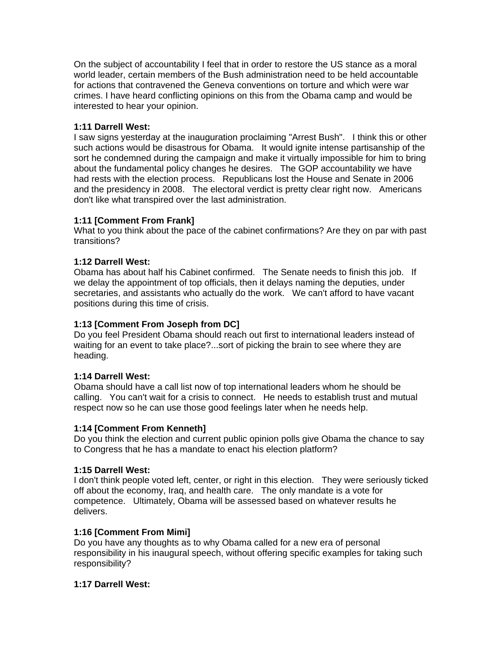On the subject of accountability I feel that in order to restore the US stance as a moral world leader, certain members of the Bush administration need to be held accountable for actions that contravened the Geneva conventions on torture and which were war crimes. I have heard conflicting opinions on this from the Obama camp and would be interested to hear your opinion.

# **1:11 Darrell West:**

I saw signs yesterday at the inauguration proclaiming "Arrest Bush". I think this or other such actions would be disastrous for Obama. It would ignite intense partisanship of the sort he condemned during the campaign and make it virtually impossible for him to bring about the fundamental policy changes he desires. The GOP accountability we have had rests with the election process. Republicans lost the House and Senate in 2006 and the presidency in 2008. The electoral verdict is pretty clear right now. Americans don't like what transpired over the last administration.

# **1:11 [Comment From Frank]**

What to you think about the pace of the cabinet confirmations? Are they on par with past transitions?

# **1:12 Darrell West:**

Obama has about half his Cabinet confirmed. The Senate needs to finish this job. If we delay the appointment of top officials, then it delays naming the deputies, under secretaries, and assistants who actually do the work. We can't afford to have vacant positions during this time of crisis.

# **1:13 [Comment From Joseph from DC]**

Do you feel President Obama should reach out first to international leaders instead of waiting for an event to take place?...sort of picking the brain to see where they are heading.

## **1:14 Darrell West:**

Obama should have a call list now of top international leaders whom he should be calling. You can't wait for a crisis to connect. He needs to establish trust and mutual respect now so he can use those good feelings later when he needs help.

## **1:14 [Comment From Kenneth]**

Do you think the election and current public opinion polls give Obama the chance to say to Congress that he has a mandate to enact his election platform?

## **1:15 Darrell West:**

I don't think people voted left, center, or right in this election. They were seriously ticked off about the economy, Iraq, and health care. The only mandate is a vote for competence. Ultimately, Obama will be assessed based on whatever results he delivers.

## **1:16 [Comment From Mimi]**

Do you have any thoughts as to why Obama called for a new era of personal responsibility in his inaugural speech, without offering specific examples for taking such responsibility?

## **1:17 Darrell West:**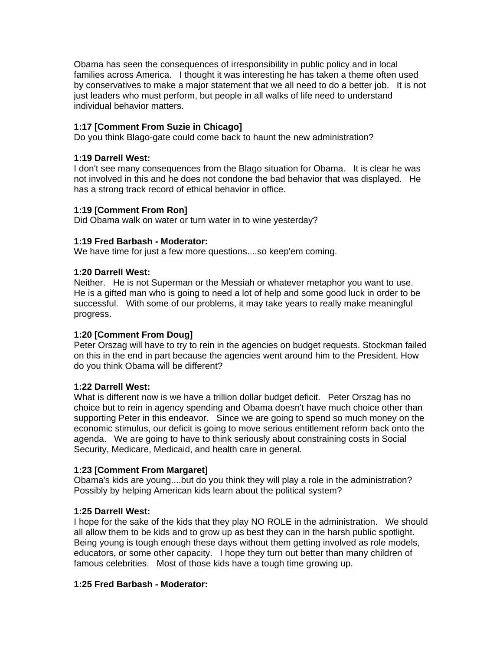Obama has seen the consequences of irresponsibility in public policy and in local families across America. I thought it was interesting he has taken a theme often used by conservatives to make a major statement that we all need to do a better job. It is not just leaders who must perform, but people in all walks of life need to understand individual behavior matters.

# **1:17 [Comment From Suzie in Chicago]**

Do you think Blago-gate could come back to haunt the new administration?

## **1:19 Darrell West:**

I don't see many consequences from the Blago situation for Obama. It is clear he was not involved in this and he does not condone the bad behavior that was displayed. He has a strong track record of ethical behavior in office.

### **1:19 [Comment From Ron]**

Did Obama walk on water or turn water in to wine yesterday?

### **1:19 Fred Barbash - Moderator:**

We have time for just a few more questions....so keep'em coming.

### **1:20 Darrell West:**

Neither. He is not Superman or the Messiah or whatever metaphor you want to use. He is a gifted man who is going to need a lot of help and some good luck in order to be successful. With some of our problems, it may take years to really make meaningful progress.

## **1:20 [Comment From Doug]**

Peter Orszag will have to try to rein in the agencies on budget requests. Stockman failed on this in the end in part because the agencies went around him to the President. How do you think Obama will be different?

## **1:22 Darrell West:**

What is different now is we have a trillion dollar budget deficit. Peter Orszag has no choice but to rein in agency spending and Obama doesn't have much choice other than supporting Peter in this endeavor. Since we are going to spend so much money on the economic stimulus, our deficit is going to move serious entitlement reform back onto the agenda. We are going to have to think seriously about constraining costs in Social Security, Medicare, Medicaid, and health care in general.

## **1:23 [Comment From Margaret]**

Obama's kids are young....but do you think they will play a role in the administration? Possibly by helping American kids learn about the political system?

#### **1:25 Darrell West:**

I hope for the sake of the kids that they play NO ROLE in the administration. We should all allow them to be kids and to grow up as best they can in the harsh public spotlight. Being young is tough enough these days without them getting involved as role models, educators, or some other capacity. I hope they turn out better than many children of famous celebrities. Most of those kids have a tough time growing up.

#### **1:25 Fred Barbash - Moderator:**